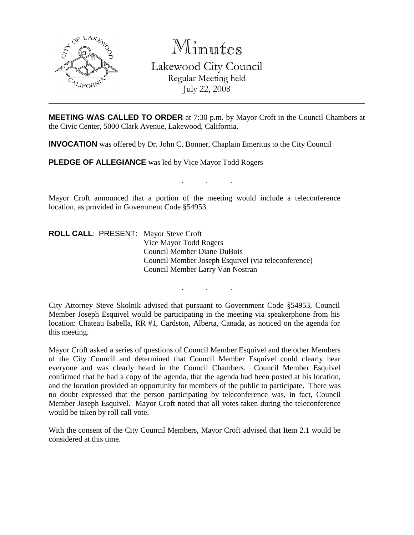

Minutes Lakewood City Council Regular Meeting held July 22, 2008

**MEETING WAS CALLED TO ORDER** at 7:30 p.m. by Mayor Croft in the Council Chambers at the Civic Center, 5000 Clark Avenue, Lakewood, California.

. . .

**INVOCATION** was offered by Dr. John C. Bonner, Chaplain Emeritus to the City Council

**PLEDGE OF ALLEGIANCE** was led by Vice Mayor Todd Rogers

Mayor Croft announced that a portion of the meeting would include a teleconference location, as provided in Government Code §54953.

**ROLL CALL**: PRESENT: Mayor Steve Croft Vice Mayor Todd Rogers Council Member Diane DuBois Council Member Joseph Esquivel (via teleconference) Council Member Larry Van Nostran

City Attorney Steve Skolnik advised that pursuant to Government Code §54953, Council Member Joseph Esquivel would be participating in the meeting via speakerphone from his location: Chateau Isabella, RR #1, Cardston, Alberta, Canada, as noticed on the agenda for this meeting.

. . .

Mayor Croft asked a series of questions of Council Member Esquivel and the other Members of the City Council and determined that Council Member Esquivel could clearly hear everyone and was clearly heard in the Council Chambers. Council Member Esquivel confirmed that he had a copy of the agenda, that the agenda had been posted at his location, and the location provided an opportunity for members of the public to participate. There was no doubt expressed that the person participating by teleconference was, in fact, Council Member Joseph Esquivel. Mayor Croft noted that all votes taken during the teleconference would be taken by roll call vote.

With the consent of the City Council Members, Mayor Croft advised that Item 2.1 would be considered at this time.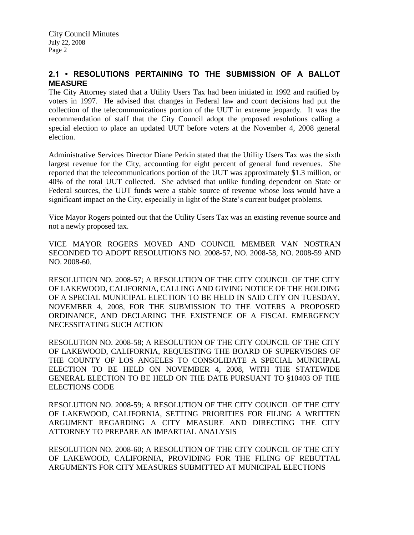# **2.1 • RESOLUTIONS PERTAINING TO THE SUBMISSION OF A BALLOT MEASURE**

The City Attorney stated that a Utility Users Tax had been initiated in 1992 and ratified by voters in 1997. He advised that changes in Federal law and court decisions had put the collection of the telecommunications portion of the UUT in extreme jeopardy. It was the recommendation of staff that the City Council adopt the proposed resolutions calling a special election to place an updated UUT before voters at the November 4, 2008 general election.

Administrative Services Director Diane Perkin stated that the Utility Users Tax was the sixth largest revenue for the City, accounting for eight percent of general fund revenues. She reported that the telecommunications portion of the UUT was approximately \$1.3 million, or 40% of the total UUT collected. She advised that unlike funding dependent on State or Federal sources, the UUT funds were a stable source of revenue whose loss would have a significant impact on the City, especially in light of the State's current budget problems.

Vice Mayor Rogers pointed out that the Utility Users Tax was an existing revenue source and not a newly proposed tax.

VICE MAYOR ROGERS MOVED AND COUNCIL MEMBER VAN NOSTRAN SECONDED TO ADOPT RESOLUTIONS NO. 2008-57, NO. 2008-58, NO. 2008-59 AND NO. 2008-60.

RESOLUTION NO. 2008-57; A RESOLUTION OF THE CITY COUNCIL OF THE CITY OF LAKEWOOD, CALIFORNIA, CALLING AND GIVING NOTICE OF THE HOLDING OF A SPECIAL MUNICIPAL ELECTION TO BE HELD IN SAID CITY ON TUESDAY, NOVEMBER 4, 2008, FOR THE SUBMISSION TO THE VOTERS A PROPOSED ORDINANCE, AND DECLARING THE EXISTENCE OF A FISCAL EMERGENCY NECESSITATING SUCH ACTION

RESOLUTION NO. 2008-58; A RESOLUTION OF THE CITY COUNCIL OF THE CITY OF LAKEWOOD, CALIFORNIA, REQUESTING THE BOARD OF SUPERVISORS OF THE COUNTY OF LOS ANGELES TO CONSOLIDATE A SPECIAL MUNICIPAL ELECTION TO BE HELD ON NOVEMBER 4, 2008, WITH THE STATEWIDE GENERAL ELECTION TO BE HELD ON THE DATE PURSUANT TO §10403 OF THE ELECTIONS CODE

RESOLUTION NO. 2008-59; A RESOLUTION OF THE CITY COUNCIL OF THE CITY OF LAKEWOOD, CALIFORNIA, SETTING PRIORITIES FOR FILING A WRITTEN ARGUMENT REGARDING A CITY MEASURE AND DIRECTING THE CITY ATTORNEY TO PREPARE AN IMPARTIAL ANALYSIS

RESOLUTION NO. 2008-60; A RESOLUTION OF THE CITY COUNCIL OF THE CITY OF LAKEWOOD, CALIFORNIA, PROVIDING FOR THE FILING OF REBUTTAL ARGUMENTS FOR CITY MEASURES SUBMITTED AT MUNICIPAL ELECTIONS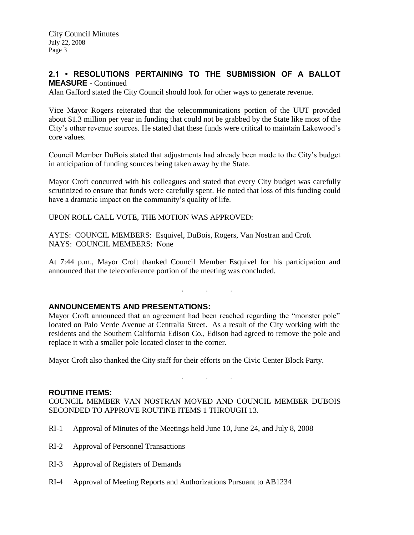## **2.1 • RESOLUTIONS PERTAINING TO THE SUBMISSION OF A BALLOT MEASURE** - Continued

Alan Gafford stated the City Council should look for other ways to generate revenue.

Vice Mayor Rogers reiterated that the telecommunications portion of the UUT provided about \$1.3 million per year in funding that could not be grabbed by the State like most of the City's other revenue sources. He stated that these funds were critical to maintain Lakewood's core values.

Council Member DuBois stated that adjustments had already been made to the City's budget in anticipation of funding sources being taken away by the State.

Mayor Croft concurred with his colleagues and stated that every City budget was carefully scrutinized to ensure that funds were carefully spent. He noted that loss of this funding could have a dramatic impact on the community's quality of life.

UPON ROLL CALL VOTE, THE MOTION WAS APPROVED:

AYES: COUNCIL MEMBERS: Esquivel, DuBois, Rogers, Van Nostran and Croft NAYS: COUNCIL MEMBERS: None

At 7:44 p.m., Mayor Croft thanked Council Member Esquivel for his participation and announced that the teleconference portion of the meeting was concluded.

. . .

### **ANNOUNCEMENTS AND PRESENTATIONS:**

Mayor Croft announced that an agreement had been reached regarding the "monster pole" located on Palo Verde Avenue at Centralia Street. As a result of the City working with the residents and the Southern California Edison Co., Edison had agreed to remove the pole and replace it with a smaller pole located closer to the corner.

Mayor Croft also thanked the City staff for their efforts on the Civic Center Block Party.

#### **ROUTINE ITEMS:**

COUNCIL MEMBER VAN NOSTRAN MOVED AND COUNCIL MEMBER DUBOIS SECONDED TO APPROVE ROUTINE ITEMS 1 THROUGH 13.

. . .

- RI-1 Approval of Minutes of the Meetings held June 10, June 24, and July 8, 2008
- RI-2 Approval of Personnel Transactions
- RI-3 Approval of Registers of Demands
- RI-4 Approval of Meeting Reports and Authorizations Pursuant to AB1234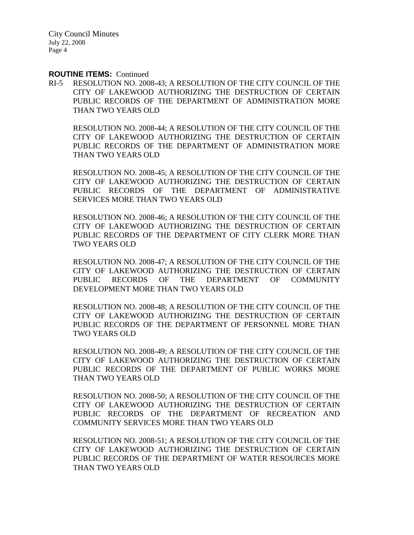#### **ROUTINE ITEMS:** Continued

RI-5 RESOLUTION NO. 2008-43; A RESOLUTION OF THE CITY COUNCIL OF THE CITY OF LAKEWOOD AUTHORIZING THE DESTRUCTION OF CERTAIN PUBLIC RECORDS OF THE DEPARTMENT OF ADMINISTRATION MORE THAN TWO YEARS OLD

RESOLUTION NO. 2008-44; A RESOLUTION OF THE CITY COUNCIL OF THE CITY OF LAKEWOOD AUTHORIZING THE DESTRUCTION OF CERTAIN PUBLIC RECORDS OF THE DEPARTMENT OF ADMINISTRATION MORE THAN TWO YEARS OLD

RESOLUTION NO. 2008-45; A RESOLUTION OF THE CITY COUNCIL OF THE CITY OF LAKEWOOD AUTHORIZING THE DESTRUCTION OF CERTAIN PUBLIC RECORDS OF THE DEPARTMENT OF ADMINISTRATIVE SERVICES MORE THAN TWO YEARS OLD

RESOLUTION NO. 2008-46; A RESOLUTION OF THE CITY COUNCIL OF THE CITY OF LAKEWOOD AUTHORIZING THE DESTRUCTION OF CERTAIN PUBLIC RECORDS OF THE DEPARTMENT OF CITY CLERK MORE THAN TWO YEARS OLD

RESOLUTION NO. 2008-47; A RESOLUTION OF THE CITY COUNCIL OF THE CITY OF LAKEWOOD AUTHORIZING THE DESTRUCTION OF CERTAIN PUBLIC RECORDS OF THE DEPARTMENT OF COMMUNITY DEVELOPMENT MORE THAN TWO YEARS OLD

RESOLUTION NO. 2008-48; A RESOLUTION OF THE CITY COUNCIL OF THE CITY OF LAKEWOOD AUTHORIZING THE DESTRUCTION OF CERTAIN PUBLIC RECORDS OF THE DEPARTMENT OF PERSONNEL MORE THAN TWO YEARS OLD

RESOLUTION NO. 2008-49; A RESOLUTION OF THE CITY COUNCIL OF THE CITY OF LAKEWOOD AUTHORIZING THE DESTRUCTION OF CERTAIN PUBLIC RECORDS OF THE DEPARTMENT OF PUBLIC WORKS MORE THAN TWO YEARS OLD

RESOLUTION NO. 2008-50; A RESOLUTION OF THE CITY COUNCIL OF THE CITY OF LAKEWOOD AUTHORIZING THE DESTRUCTION OF CERTAIN PUBLIC RECORDS OF THE DEPARTMENT OF RECREATION AND COMMUNITY SERVICES MORE THAN TWO YEARS OLD

RESOLUTION NO. 2008-51; A RESOLUTION OF THE CITY COUNCIL OF THE CITY OF LAKEWOOD AUTHORIZING THE DESTRUCTION OF CERTAIN PUBLIC RECORDS OF THE DEPARTMENT OF WATER RESOURCES MORE THAN TWO YEARS OLD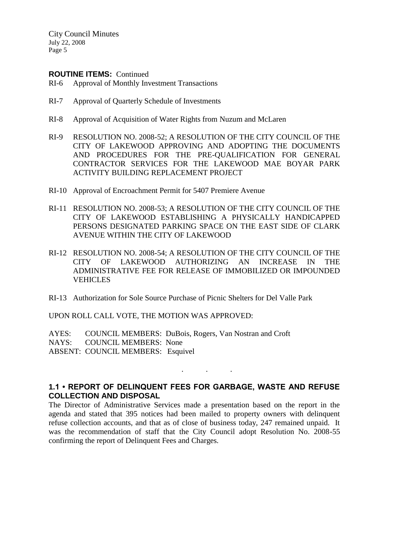#### **ROUTINE ITEMS:** Continued

- RI-6 Approval of Monthly Investment Transactions
- RI-7 Approval of Quarterly Schedule of Investments
- RI-8 Approval of Acquisition of Water Rights from Nuzum and McLaren
- RI-9 RESOLUTION NO. 2008-52; A RESOLUTION OF THE CITY COUNCIL OF THE CITY OF LAKEWOOD APPROVING AND ADOPTING THE DOCUMENTS AND PROCEDURES FOR THE PRE-QUALIFICATION FOR GENERAL CONTRACTOR SERVICES FOR THE LAKEWOOD MAE BOYAR PARK ACTIVITY BUILDING REPLACEMENT PROJECT
- RI-10 Approval of Encroachment Permit for 5407 Premiere Avenue
- RI-11 RESOLUTION NO. 2008-53; A RESOLUTION OF THE CITY COUNCIL OF THE CITY OF LAKEWOOD ESTABLISHING A PHYSICALLY HANDICAPPED PERSONS DESIGNATED PARKING SPACE ON THE EAST SIDE OF CLARK AVENUE WITHIN THE CITY OF LAKEWOOD
- RI-12 RESOLUTION NO. 2008-54; A RESOLUTION OF THE CITY COUNCIL OF THE CITY OF LAKEWOOD AUTHORIZING AN INCREASE IN THE ADMINISTRATIVE FEE FOR RELEASE OF IMMOBILIZED OR IMPOUNDED **VEHICLES**
- RI-13 Authorization for Sole Source Purchase of Picnic Shelters for Del Valle Park

UPON ROLL CALL VOTE, THE MOTION WAS APPROVED:

AYES: COUNCIL MEMBERS: DuBois, Rogers, Van Nostran and Croft NAYS: COUNCIL MEMBERS: None ABSENT: COUNCIL MEMBERS: Esquivel

# **1.1 • REPORT OF DELINQUENT FEES FOR GARBAGE, WASTE AND REFUSE COLLECTION AND DISPOSAL**

. . .

The Director of Administrative Services made a presentation based on the report in the agenda and stated that 395 notices had been mailed to property owners with delinquent refuse collection accounts, and that as of close of business today, 247 remained unpaid. It was the recommendation of staff that the City Council adopt Resolution No. 2008-55 confirming the report of Delinquent Fees and Charges.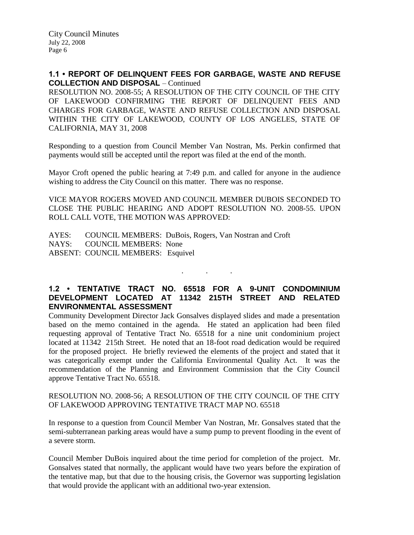### **1.1 • REPORT OF DELINQUENT FEES FOR GARBAGE, WASTE AND REFUSE COLLECTION AND DISPOSAL** – Continued

RESOLUTION NO. 2008-55; A RESOLUTION OF THE CITY COUNCIL OF THE CITY OF LAKEWOOD CONFIRMING THE REPORT OF DELINQUENT FEES AND CHARGES FOR GARBAGE, WASTE AND REFUSE COLLECTION AND DISPOSAL WITHIN THE CITY OF LAKEWOOD, COUNTY OF LOS ANGELES, STATE OF CALIFORNIA, MAY 31, 2008

Responding to a question from Council Member Van Nostran, Ms. Perkin confirmed that payments would still be accepted until the report was filed at the end of the month.

Mayor Croft opened the public hearing at 7:49 p.m. and called for anyone in the audience wishing to address the City Council on this matter. There was no response.

VICE MAYOR ROGERS MOVED AND COUNCIL MEMBER DUBOIS SECONDED TO CLOSE THE PUBLIC HEARING AND ADOPT RESOLUTION NO. 2008-55. UPON ROLL CALL VOTE, THE MOTION WAS APPROVED:

AYES: COUNCIL MEMBERS: DuBois, Rogers, Van Nostran and Croft NAYS: COUNCIL MEMBERS: None ABSENT: COUNCIL MEMBERS: Esquivel

# **1.2 • TENTATIVE TRACT NO. 65518 FOR A 9-UNIT CONDOMINIUM DEVELOPMENT LOCATED AT 11342 215TH STREET AND RELATED ENVIRONMENTAL ASSESSMENT**

. . .

Community Development Director Jack Gonsalves displayed slides and made a presentation based on the memo contained in the agenda. He stated an application had been filed requesting approval of Tentative Tract No. 65518 for a nine unit condominium project located at 11342 215th Street. He noted that an 18-foot road dedication would be required for the proposed project. He briefly reviewed the elements of the project and stated that it was categorically exempt under the California Environmental Quality Act. It was the recommendation of the Planning and Environment Commission that the City Council approve Tentative Tract No. 65518.

### RESOLUTION NO. 2008-56; A RESOLUTION OF THE CITY COUNCIL OF THE CITY OF LAKEWOOD APPROVING TENTATIVE TRACT MAP NO. 65518

In response to a question from Council Member Van Nostran, Mr. Gonsalves stated that the semi-subterranean parking areas would have a sump pump to prevent flooding in the event of a severe storm.

Council Member DuBois inquired about the time period for completion of the project. Mr. Gonsalves stated that normally, the applicant would have two years before the expiration of the tentative map, but that due to the housing crisis, the Governor was supporting legislation that would provide the applicant with an additional two-year extension.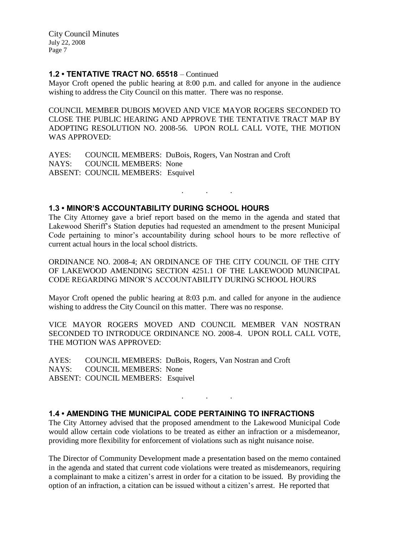### **1.2 • TENTATIVE TRACT NO. 65518** – Continued

Mayor Croft opened the public hearing at 8:00 p.m. and called for anyone in the audience wishing to address the City Council on this matter. There was no response.

COUNCIL MEMBER DUBOIS MOVED AND VICE MAYOR ROGERS SECONDED TO CLOSE THE PUBLIC HEARING AND APPROVE THE TENTATIVE TRACT MAP BY ADOPTING RESOLUTION NO. 2008-56. UPON ROLL CALL VOTE, THE MOTION WAS APPROVED:

AYES: COUNCIL MEMBERS: DuBois, Rogers, Van Nostran and Croft NAYS: COUNCIL MEMBERS: None ABSENT: COUNCIL MEMBERS: Esquivel

### **1.3 • MINOR'S ACCOUNTABILITY DURING SCHOOL HOURS**

The City Attorney gave a brief report based on the memo in the agenda and stated that Lakewood Sheriff's Station deputies had requested an amendment to the present Municipal Code pertaining to minor's accountability during school hours to be more reflective of current actual hours in the local school districts.

. . .

ORDINANCE NO. 2008-4; AN ORDINANCE OF THE CITY COUNCIL OF THE CITY OF LAKEWOOD AMENDING SECTION 4251.1 OF THE LAKEWOOD MUNICIPAL CODE REGARDING MINOR'S ACCOUNTABILITY DURING SCHOOL HOURS

Mayor Croft opened the public hearing at 8:03 p.m. and called for anyone in the audience wishing to address the City Council on this matter. There was no response.

VICE MAYOR ROGERS MOVED AND COUNCIL MEMBER VAN NOSTRAN SECONDED TO INTRODUCE ORDINANCE NO. 2008-4. UPON ROLL CALL VOTE, THE MOTION WAS APPROVED:

AYES: COUNCIL MEMBERS: DuBois, Rogers, Van Nostran and Croft NAYS: COUNCIL MEMBERS: None ABSENT: COUNCIL MEMBERS: Esquivel

### **1.4 • AMENDING THE MUNICIPAL CODE PERTAINING TO INFRACTIONS**

The City Attorney advised that the proposed amendment to the Lakewood Municipal Code would allow certain code violations to be treated as either an infraction or a misdemeanor, providing more flexibility for enforcement of violations such as night nuisance noise.

. . .

The Director of Community Development made a presentation based on the memo contained in the agenda and stated that current code violations were treated as misdemeanors, requiring a complainant to make a citizen's arrest in order for a citation to be issued. By providing the option of an infraction, a citation can be issued without a citizen's arrest. He reported that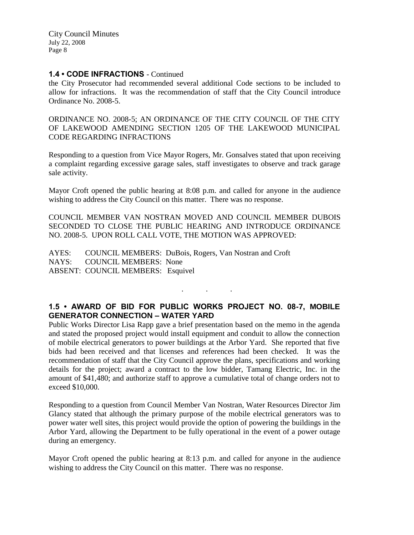### **1.4 • CODE INFRACTIONS** - Continued

the City Prosecutor had recommended several additional Code sections to be included to allow for infractions. It was the recommendation of staff that the City Council introduce Ordinance No. 2008-5.

ORDINANCE NO. 2008-5; AN ORDINANCE OF THE CITY COUNCIL OF THE CITY OF LAKEWOOD AMENDING SECTION 1205 OF THE LAKEWOOD MUNICIPAL CODE REGARDING INFRACTIONS

Responding to a question from Vice Mayor Rogers, Mr. Gonsalves stated that upon receiving a complaint regarding excessive garage sales, staff investigates to observe and track garage sale activity.

Mayor Croft opened the public hearing at 8:08 p.m. and called for anyone in the audience wishing to address the City Council on this matter. There was no response.

COUNCIL MEMBER VAN NOSTRAN MOVED AND COUNCIL MEMBER DUBOIS SECONDED TO CLOSE THE PUBLIC HEARING AND INTRODUCE ORDINANCE NO. 2008-5. UPON ROLL CALL VOTE, THE MOTION WAS APPROVED:

AYES: COUNCIL MEMBERS: DuBois, Rogers, Van Nostran and Croft NAYS: COUNCIL MEMBERS: None ABSENT: COUNCIL MEMBERS: Esquivel

# **1.5 • AWARD OF BID FOR PUBLIC WORKS PROJECT NO. 08-7, MOBILE GENERATOR CONNECTION – WATER YARD**

. . .

Public Works Director Lisa Rapp gave a brief presentation based on the memo in the agenda and stated the proposed project would install equipment and conduit to allow the connection of mobile electrical generators to power buildings at the Arbor Yard. She reported that five bids had been received and that licenses and references had been checked. It was the recommendation of staff that the City Council approve the plans, specifications and working details for the project; award a contract to the low bidder, Tamang Electric, Inc. in the amount of \$41,480; and authorize staff to approve a cumulative total of change orders not to exceed \$10,000.

Responding to a question from Council Member Van Nostran, Water Resources Director Jim Glancy stated that although the primary purpose of the mobile electrical generators was to power water well sites, this project would provide the option of powering the buildings in the Arbor Yard, allowing the Department to be fully operational in the event of a power outage during an emergency.

Mayor Croft opened the public hearing at 8:13 p.m. and called for anyone in the audience wishing to address the City Council on this matter. There was no response.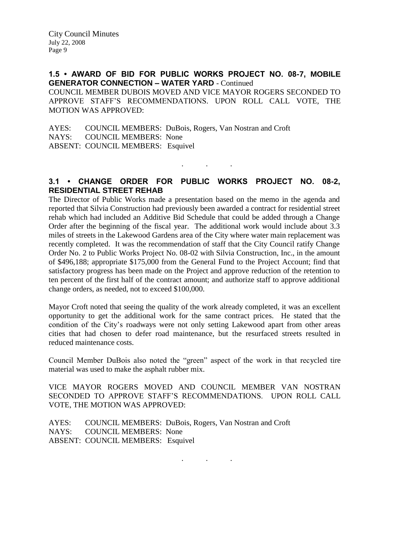**1.5 • AWARD OF BID FOR PUBLIC WORKS PROJECT NO. 08-7, MOBILE GENERATOR CONNECTION – WATER YARD** - Continued COUNCIL MEMBER DUBOIS MOVED AND VICE MAYOR ROGERS SECONDED TO APPROVE STAFF'S RECOMMENDATIONS. UPON ROLL CALL VOTE, THE MOTION WAS APPROVED:

AYES: COUNCIL MEMBERS: DuBois, Rogers, Van Nostran and Croft NAYS: COUNCIL MEMBERS: None ABSENT: COUNCIL MEMBERS: Esquivel

# **3.1 • CHANGE ORDER FOR PUBLIC WORKS PROJECT NO. 08-2, RESIDENTIAL STREET REHAB**

. . .

The Director of Public Works made a presentation based on the memo in the agenda and reported that Silvia Construction had previously been awarded a contract for residential street rehab which had included an Additive Bid Schedule that could be added through a Change Order after the beginning of the fiscal year. The additional work would include about 3.3 miles of streets in the Lakewood Gardens area of the City where water main replacement was recently completed. It was the recommendation of staff that the City Council ratify Change Order No. 2 to Public Works Project No. 08-02 with Silvia Construction, Inc., in the amount of \$496,188; appropriate \$175,000 from the General Fund to the Project Account; find that satisfactory progress has been made on the Project and approve reduction of the retention to ten percent of the first half of the contract amount; and authorize staff to approve additional change orders, as needed, not to exceed \$100,000.

Mayor Croft noted that seeing the quality of the work already completed, it was an excellent opportunity to get the additional work for the same contract prices. He stated that the condition of the City's roadways were not only setting Lakewood apart from other areas cities that had chosen to defer road maintenance, but the resurfaced streets resulted in reduced maintenance costs.

Council Member DuBois also noted the "green" aspect of the work in that recycled tire material was used to make the asphalt rubber mix.

VICE MAYOR ROGERS MOVED AND COUNCIL MEMBER VAN NOSTRAN SECONDED TO APPROVE STAFF'S RECOMMENDATIONS. UPON ROLL CALL VOTE, THE MOTION WAS APPROVED:

AYES: COUNCIL MEMBERS: DuBois, Rogers, Van Nostran and Croft NAYS: COUNCIL MEMBERS: None ABSENT: COUNCIL MEMBERS: Esquivel

. . .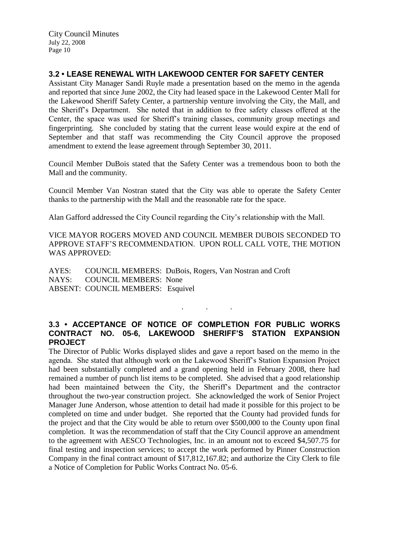# **3.2 • LEASE RENEWAL WITH LAKEWOOD CENTER FOR SAFETY CENTER**

Assistant City Manager Sandi Ruyle made a presentation based on the memo in the agenda and reported that since June 2002, the City had leased space in the Lakewood Center Mall for the Lakewood Sheriff Safety Center, a partnership venture involving the City, the Mall, and the Sheriff's Department. She noted that in addition to free safety classes offered at the Center, the space was used for Sheriff's training classes, community group meetings and fingerprinting. She concluded by stating that the current lease would expire at the end of September and that staff was recommending the City Council approve the proposed amendment to extend the lease agreement through September 30, 2011.

Council Member DuBois stated that the Safety Center was a tremendous boon to both the Mall and the community.

Council Member Van Nostran stated that the City was able to operate the Safety Center thanks to the partnership with the Mall and the reasonable rate for the space.

Alan Gafford addressed the City Council regarding the City's relationship with the Mall.

VICE MAYOR ROGERS MOVED AND COUNCIL MEMBER DUBOIS SECONDED TO APPROVE STAFF'S RECOMMENDATION. UPON ROLL CALL VOTE, THE MOTION WAS APPROVED:

AYES: COUNCIL MEMBERS: DuBois, Rogers, Van Nostran and Croft NAYS: COUNCIL MEMBERS: None ABSENT: COUNCIL MEMBERS: Esquivel

### **3.3 • ACCEPTANCE OF NOTICE OF COMPLETION FOR PUBLIC WORKS CONTRACT NO. 05-6, LAKEWOOD SHERIFF'S STATION EXPANSION PROJECT**

. . .

The Director of Public Works displayed slides and gave a report based on the memo in the agenda. She stated that although work on the Lakewood Sheriff's Station Expansion Project had been substantially completed and a grand opening held in February 2008, there had remained a number of punch list items to be completed. She advised that a good relationship had been maintained between the City, the Sheriff's Department and the contractor throughout the two-year construction project. She acknowledged the work of Senior Project Manager June Anderson, whose attention to detail had made it possible for this project to be completed on time and under budget. She reported that the County had provided funds for the project and that the City would be able to return over \$500,000 to the County upon final completion. It was the recommendation of staff that the City Council approve an amendment to the agreement with AESCO Technologies, Inc. in an amount not to exceed \$4,507.75 for final testing and inspection services; to accept the work performed by Pinner Construction Company in the final contract amount of \$17,812,167.82; and authorize the City Clerk to file a Notice of Completion for Public Works Contract No. 05-6.